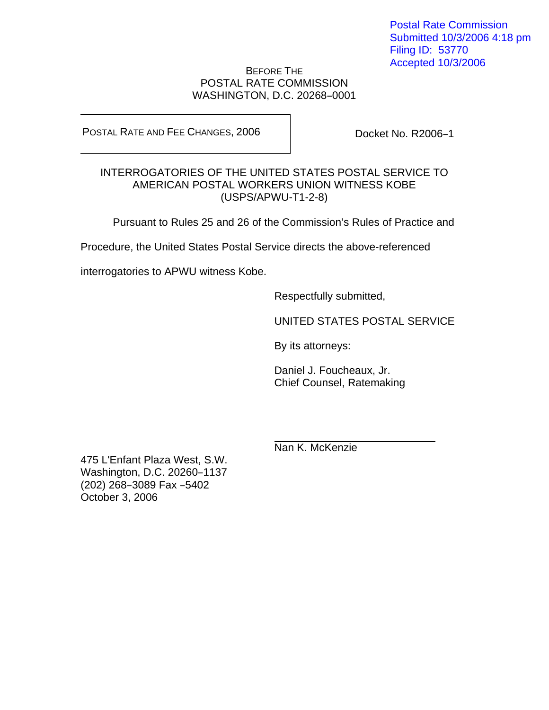Postal Rate Commission Submitted 10/3/2006 4:18 pm Filing ID: 53770 Accepted 10/3/2006

## BEFORE THE POSTAL RATE COMMISSION WASHINGTON, D.C. 20268-0001

POSTAL RATE AND FEE CHANGES, 2006

Docket No. R2006-1

## INTERROGATORIES OF THE UNITED STATES POSTAL SERVICE TO AMERICAN POSTAL WORKERS UNION WITNESS KOBE (USPS/APWU-T1-2-8)

Pursuant to Rules 25 and 26 of the Commission's Rules of Practice and

Procedure, the United States Postal Service directs the above-referenced

interrogatories to APWU witness Kobe.

Respectfully submitted,

UNITED STATES POSTAL SERVICE

By its attorneys:

Daniel J. Foucheaux, Jr. Chief Counsel, Ratemaking

Nan K. McKenzie

475 L'Enfant Plaza West, S.W. Washington, D.C. 20260-1137 (202) 268-3089 Fax -5402 October 3, 2006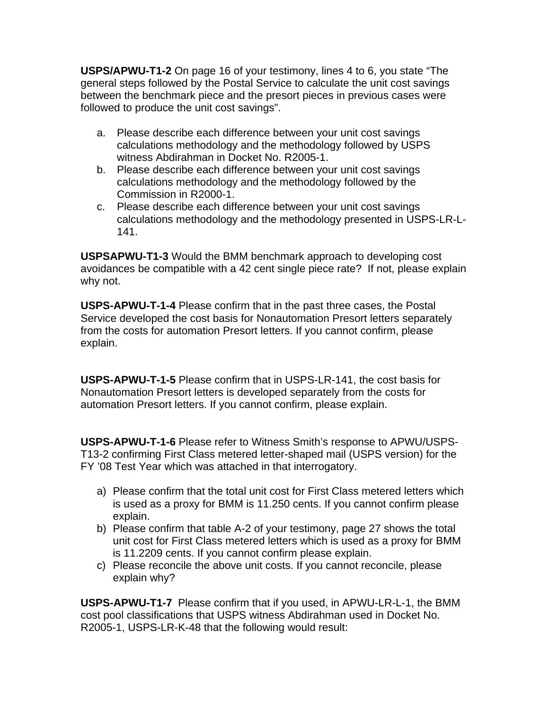**USPS/APWU-T1-2** On page 16 of your testimony, lines 4 to 6, you state "The general steps followed by the Postal Service to calculate the unit cost savings between the benchmark piece and the presort pieces in previous cases were followed to produce the unit cost savings".

- a. Please describe each difference between your unit cost savings calculations methodology and the methodology followed by USPS witness Abdirahman in Docket No. R2005-1.
- b. Please describe each difference between your unit cost savings calculations methodology and the methodology followed by the Commission in R2000-1.
- c. Please describe each difference between your unit cost savings calculations methodology and the methodology presented in USPS-LR-L-141.

**USPSAPWU-T1-3** Would the BMM benchmark approach to developing cost avoidances be compatible with a 42 cent single piece rate? If not, please explain why not.

**USPS-APWU-T-1-4** Please confirm that in the past three cases, the Postal Service developed the cost basis for Nonautomation Presort letters separately from the costs for automation Presort letters. If you cannot confirm, please explain.

**USPS-APWU-T-1-5** Please confirm that in USPS-LR-141, the cost basis for Nonautomation Presort letters is developed separately from the costs for automation Presort letters. If you cannot confirm, please explain.

**USPS-APWU-T-1-6** Please refer to Witness Smith's response to APWU/USPS-T13-2 confirming First Class metered letter-shaped mail (USPS version) for the FY '08 Test Year which was attached in that interrogatory.

- a) Please confirm that the total unit cost for First Class metered letters which is used as a proxy for BMM is 11.250 cents. If you cannot confirm please explain.
- b) Please confirm that table A-2 of your testimony, page 27 shows the total unit cost for First Class metered letters which is used as a proxy for BMM is 11.2209 cents. If you cannot confirm please explain.
- c) Please reconcile the above unit costs. If you cannot reconcile, please explain why?

**USPS-APWU-T1-7** Please confirm that if you used, in APWU-LR-L-1, the BMM cost pool classifications that USPS witness Abdirahman used in Docket No. R2005-1, USPS-LR-K-48 that the following would result: